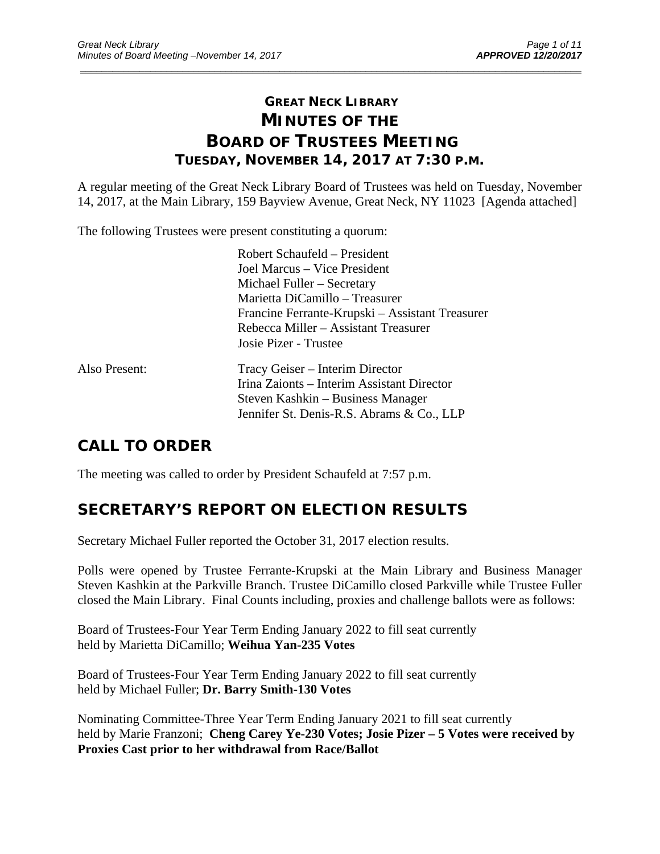# **GREAT NECK LIBRARY MINUTES OF THE BOARD OF TRUSTEES MEETING TUESDAY, NOVEMBER 14, 2017 AT 7:30 P.M.**

\_\_\_\_\_\_\_\_\_\_\_\_\_\_\_\_\_\_\_\_\_\_\_\_\_\_\_\_\_\_\_\_\_\_\_\_\_\_\_\_\_\_\_\_\_\_\_\_\_\_\_\_\_\_\_\_\_\_\_\_\_\_\_\_\_\_\_\_\_\_\_\_\_\_\_\_\_\_\_\_\_\_\_\_\_\_\_\_\_\_\_\_\_

A regular meeting of the Great Neck Library Board of Trustees was held on Tuesday, November 14, 2017, at the Main Library, 159 Bayview Avenue, Great Neck, NY 11023 [Agenda attached]

The following Trustees were present constituting a quorum:

|               | Robert Schaufeld – President<br>Joel Marcus – Vice President<br>Michael Fuller - Secretary<br>Marietta DiCamillo - Treasurer                                    |
|---------------|-----------------------------------------------------------------------------------------------------------------------------------------------------------------|
|               | Francine Ferrante-Krupski – Assistant Treasurer<br>Rebecca Miller – Assistant Treasurer<br>Josie Pizer - Trustee                                                |
| Also Present: | Tracy Geiser - Interim Director<br>Irina Zaionts – Interim Assistant Director<br>Steven Kashkin – Business Manager<br>Jennifer St. Denis-R.S. Abrams & Co., LLP |

# **CALL TO ORDER**

The meeting was called to order by President Schaufeld at 7:57 p.m.

# **SECRETARY'S REPORT ON ELECTION RESULTS**

Secretary Michael Fuller reported the October 31, 2017 election results.

Polls were opened by Trustee Ferrante-Krupski at the Main Library and Business Manager Steven Kashkin at the Parkville Branch. Trustee DiCamillo closed Parkville while Trustee Fuller closed the Main Library. Final Counts including, proxies and challenge ballots were as follows:

Board of Trustees-Four Year Term Ending January 2022 to fill seat currently held by Marietta DiCamillo; **Weihua Yan-235 Votes** 

Board of Trustees-Four Year Term Ending January 2022 to fill seat currently held by Michael Fuller; **Dr. Barry Smith-130 Votes** 

Nominating Committee-Three Year Term Ending January 2021 to fill seat currently held by Marie Franzoni; **Cheng Carey Ye-230 Votes; Josie Pizer – 5 Votes were received by Proxies Cast prior to her withdrawal from Race/Ballot**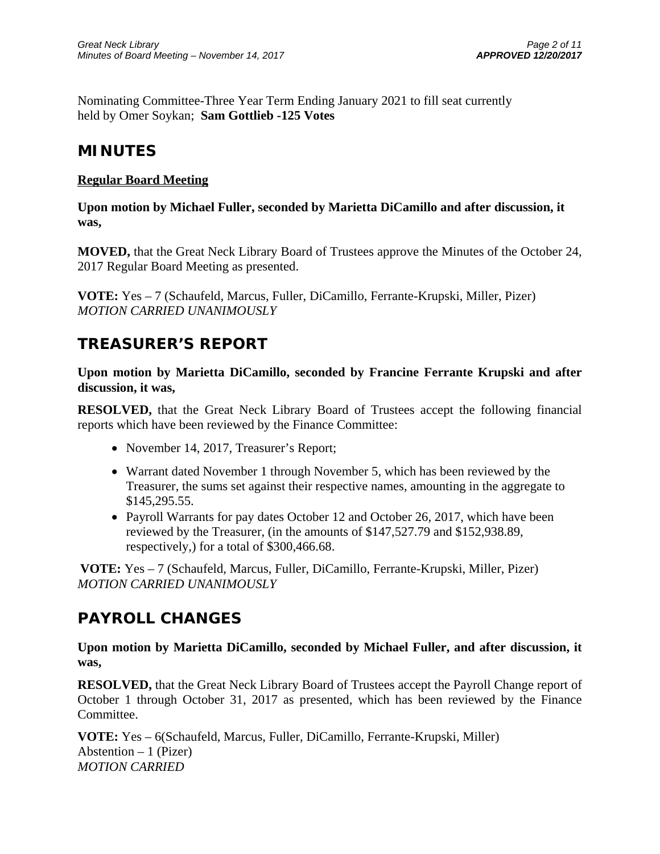Nominating Committee-Three Year Term Ending January 2021 to fill seat currently held by Omer Soykan; **Sam Gottlieb -125 Votes**

# **MINUTES**

## **Regular Board Meeting**

**Upon motion by Michael Fuller, seconded by Marietta DiCamillo and after discussion, it was,** 

**MOVED,** that the Great Neck Library Board of Trustees approve the Minutes of the October 24, 2017 Regular Board Meeting as presented.

**VOTE:** Yes – 7 (Schaufeld, Marcus, Fuller, DiCamillo, Ferrante-Krupski, Miller, Pizer) *MOTION CARRIED UNANIMOUSLY*

# **TREASURER'S REPORT**

**Upon motion by Marietta DiCamillo, seconded by Francine Ferrante Krupski and after discussion, it was,** 

**RESOLVED,** that the Great Neck Library Board of Trustees accept the following financial reports which have been reviewed by the Finance Committee:

- November 14, 2017, Treasurer's Report;
- Warrant dated November 1 through November 5, which has been reviewed by the Treasurer, the sums set against their respective names, amounting in the aggregate to \$145,295.55.
- Payroll Warrants for pay dates October 12 and October 26, 2017, which have been reviewed by the Treasurer, (in the amounts of \$147,527.79 and \$152,938.89, respectively,) for a total of \$300,466.68.

**VOTE:** Yes – 7 (Schaufeld, Marcus, Fuller, DiCamillo, Ferrante-Krupski, Miller, Pizer) *MOTION CARRIED UNANIMOUSLY*

# **PAYROLL CHANGES**

**Upon motion by Marietta DiCamillo, seconded by Michael Fuller, and after discussion, it was,** 

**RESOLVED,** that the Great Neck Library Board of Trustees accept the Payroll Change report of October 1 through October 31, 2017 as presented, which has been reviewed by the Finance Committee.

**VOTE:** Yes – 6(Schaufeld, Marcus, Fuller, DiCamillo, Ferrante-Krupski, Miller) Abstention  $-1$  (Pizer) *MOTION CARRIED*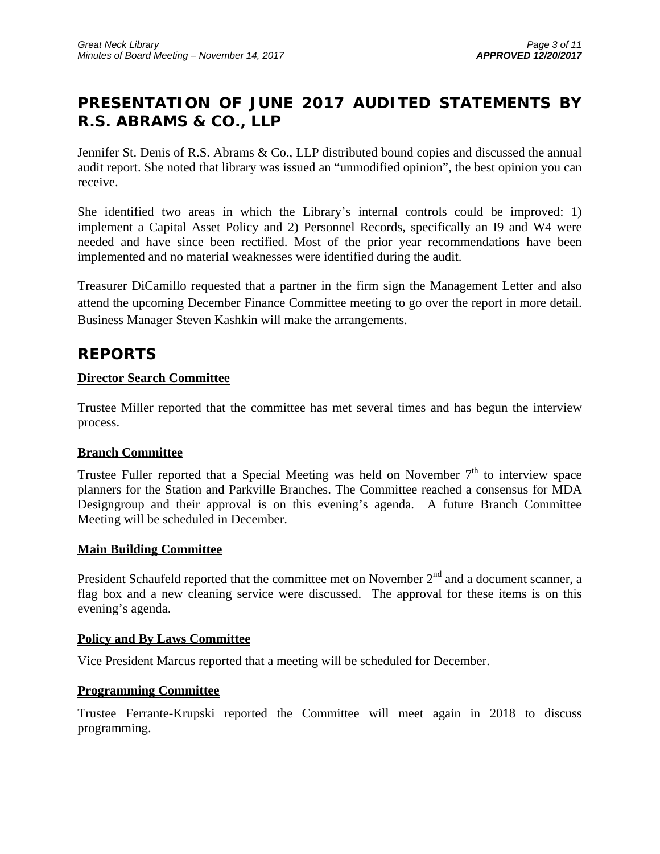# **PRESENTATION OF JUNE 2017 AUDITED STATEMENTS BY R.S. ABRAMS & CO., LLP**

Jennifer St. Denis of R.S. Abrams & Co., LLP distributed bound copies and discussed the annual audit report. She noted that library was issued an "unmodified opinion", the best opinion you can receive.

She identified two areas in which the Library's internal controls could be improved: 1) implement a Capital Asset Policy and 2) Personnel Records, specifically an I9 and W4 were needed and have since been rectified. Most of the prior year recommendations have been implemented and no material weaknesses were identified during the audit.

Treasurer DiCamillo requested that a partner in the firm sign the Management Letter and also attend the upcoming December Finance Committee meeting to go over the report in more detail. Business Manager Steven Kashkin will make the arrangements.

# **REPORTS**

## **Director Search Committee**

Trustee Miller reported that the committee has met several times and has begun the interview process.

## **Branch Committee**

Trustee Fuller reported that a Special Meeting was held on November  $7<sup>th</sup>$  to interview space planners for the Station and Parkville Branches. The Committee reached a consensus for MDA Designgroup and their approval is on this evening's agenda. A future Branch Committee Meeting will be scheduled in December.

## **Main Building Committee**

President Schaufeld reported that the committee met on November  $2<sup>nd</sup>$  and a document scanner, a flag box and a new cleaning service were discussed. The approval for these items is on this evening's agenda.

#### **Policy and By Laws Committee**

Vice President Marcus reported that a meeting will be scheduled for December.

## **Programming Committee**

Trustee Ferrante-Krupski reported the Committee will meet again in 2018 to discuss programming.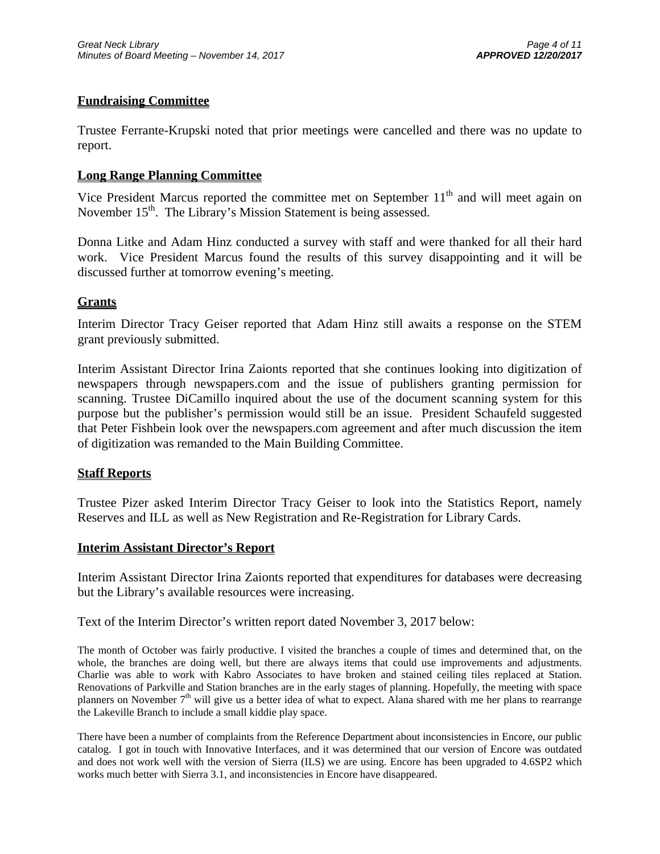### **Fundraising Committee**

Trustee Ferrante-Krupski noted that prior meetings were cancelled and there was no update to report.

#### **Long Range Planning Committee**

Vice President Marcus reported the committee met on September  $11<sup>th</sup>$  and will meet again on November  $15<sup>th</sup>$ . The Library's Mission Statement is being assessed.

Donna Litke and Adam Hinz conducted a survey with staff and were thanked for all their hard work. Vice President Marcus found the results of this survey disappointing and it will be discussed further at tomorrow evening's meeting.

### **Grants**

Interim Director Tracy Geiser reported that Adam Hinz still awaits a response on the STEM grant previously submitted.

Interim Assistant Director Irina Zaionts reported that she continues looking into digitization of newspapers through newspapers.com and the issue of publishers granting permission for scanning. Trustee DiCamillo inquired about the use of the document scanning system for this purpose but the publisher's permission would still be an issue. President Schaufeld suggested that Peter Fishbein look over the newspapers.com agreement and after much discussion the item of digitization was remanded to the Main Building Committee.

#### **Staff Reports**

Trustee Pizer asked Interim Director Tracy Geiser to look into the Statistics Report, namely Reserves and ILL as well as New Registration and Re-Registration for Library Cards.

#### **Interim Assistant Director's Report**

Interim Assistant Director Irina Zaionts reported that expenditures for databases were decreasing but the Library's available resources were increasing.

Text of the Interim Director's written report dated November 3, 2017 below:

The month of October was fairly productive. I visited the branches a couple of times and determined that, on the whole, the branches are doing well, but there are always items that could use improvements and adjustments. Charlie was able to work with Kabro Associates to have broken and stained ceiling tiles replaced at Station. Renovations of Parkville and Station branches are in the early stages of planning. Hopefully, the meeting with space planners on November 7<sup>th</sup> will give us a better idea of what to expect. Alana shared with me her plans to rearrange the Lakeville Branch to include a small kiddie play space.

There have been a number of complaints from the Reference Department about inconsistencies in Encore, our public catalog. I got in touch with Innovative Interfaces, and it was determined that our version of Encore was outdated and does not work well with the version of Sierra (ILS) we are using. Encore has been upgraded to 4.6SP2 which works much better with Sierra 3.1, and inconsistencies in Encore have disappeared.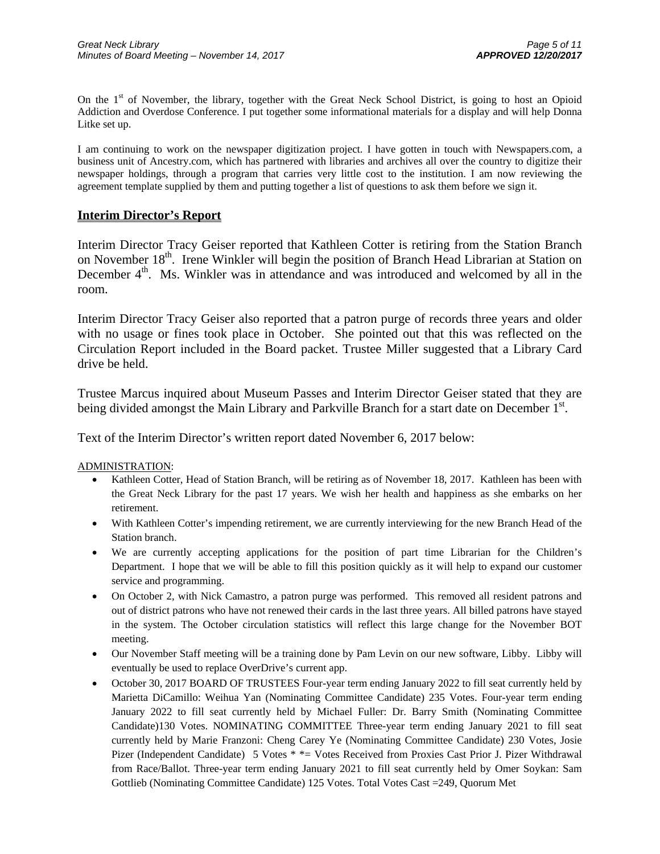On the 1st of November, the library, together with the Great Neck School District, is going to host an Opioid Addiction and Overdose Conference. I put together some informational materials for a display and will help Donna Litke set up.

I am continuing to work on the newspaper digitization project. I have gotten in touch with Newspapers.com, a business unit of Ancestry.com, which has partnered with libraries and archives all over the country to digitize their newspaper holdings, through a program that carries very little cost to the institution. I am now reviewing the agreement template supplied by them and putting together a list of questions to ask them before we sign it.

#### **Interim Director's Report**

Interim Director Tracy Geiser reported that Kathleen Cotter is retiring from the Station Branch on November 18<sup>th</sup>. Irene Winkler will begin the position of Branch Head Librarian at Station on December 4<sup>th</sup>. Ms. Winkler was in attendance and was introduced and welcomed by all in the room.

Interim Director Tracy Geiser also reported that a patron purge of records three years and older with no usage or fines took place in October. She pointed out that this was reflected on the Circulation Report included in the Board packet. Trustee Miller suggested that a Library Card drive be held.

Trustee Marcus inquired about Museum Passes and Interim Director Geiser stated that they are being divided amongst the Main Library and Parkville Branch for a start date on December 1<sup>st</sup>.

Text of the Interim Director's written report dated November 6, 2017 below:

ADMINISTRATION:

- Kathleen Cotter, Head of Station Branch, will be retiring as of November 18, 2017. Kathleen has been with the Great Neck Library for the past 17 years. We wish her health and happiness as she embarks on her retirement.
- With Kathleen Cotter's impending retirement, we are currently interviewing for the new Branch Head of the Station branch.
- We are currently accepting applications for the position of part time Librarian for the Children's Department. I hope that we will be able to fill this position quickly as it will help to expand our customer service and programming.
- On October 2, with Nick Camastro, a patron purge was performed. This removed all resident patrons and out of district patrons who have not renewed their cards in the last three years. All billed patrons have stayed in the system. The October circulation statistics will reflect this large change for the November BOT meeting.
- Our November Staff meeting will be a training done by Pam Levin on our new software, Libby. Libby will eventually be used to replace OverDrive's current app.
- October 30, 2017 BOARD OF TRUSTEES Four-year term ending January 2022 to fill seat currently held by Marietta DiCamillo: Weihua Yan (Nominating Committee Candidate) 235 Votes. Four-year term ending January 2022 to fill seat currently held by Michael Fuller: Dr. Barry Smith (Nominating Committee Candidate)130 Votes. NOMINATING COMMITTEE Three-year term ending January 2021 to fill seat currently held by Marie Franzoni: Cheng Carey Ye (Nominating Committee Candidate) 230 Votes, Josie Pizer (Independent Candidate) 5 Votes \* \* = Votes Received from Proxies Cast Prior J. Pizer Withdrawal from Race/Ballot. Three-year term ending January 2021 to fill seat currently held by Omer Soykan: Sam Gottlieb (Nominating Committee Candidate) 125 Votes. Total Votes Cast =249, Quorum Met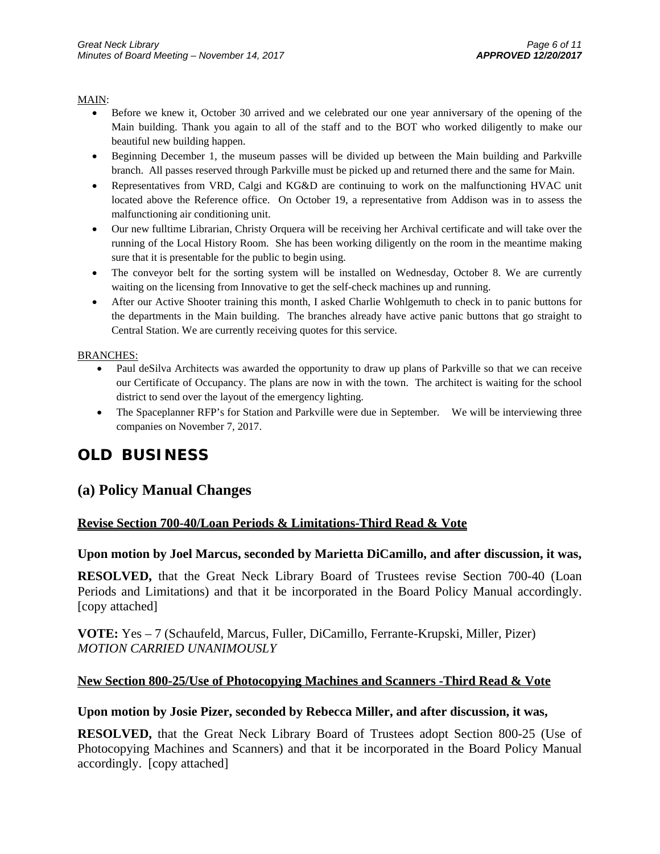#### MAIN:

- Before we knew it, October 30 arrived and we celebrated our one year anniversary of the opening of the Main building. Thank you again to all of the staff and to the BOT who worked diligently to make our beautiful new building happen.
- Beginning December 1, the museum passes will be divided up between the Main building and Parkville branch. All passes reserved through Parkville must be picked up and returned there and the same for Main.
- Representatives from VRD, Calgi and KG&D are continuing to work on the malfunctioning HVAC unit located above the Reference office. On October 19, a representative from Addison was in to assess the malfunctioning air conditioning unit.
- Our new fulltime Librarian, Christy Orquera will be receiving her Archival certificate and will take over the running of the Local History Room. She has been working diligently on the room in the meantime making sure that it is presentable for the public to begin using.
- The conveyor belt for the sorting system will be installed on Wednesday, October 8. We are currently waiting on the licensing from Innovative to get the self-check machines up and running.
- After our Active Shooter training this month, I asked Charlie Wohlgemuth to check in to panic buttons for the departments in the Main building. The branches already have active panic buttons that go straight to Central Station. We are currently receiving quotes for this service.

#### BRANCHES:

- Paul deSilva Architects was awarded the opportunity to draw up plans of Parkville so that we can receive our Certificate of Occupancy. The plans are now in with the town. The architect is waiting for the school district to send over the layout of the emergency lighting.
- The Spaceplanner RFP's for Station and Parkville were due in September. We will be interviewing three companies on November 7, 2017.

# **OLD BUSINESS**

## **(a) Policy Manual Changes**

#### **Revise Section 700-40/Loan Periods & Limitations-Third Read & Vote**

#### **Upon motion by Joel Marcus, seconded by Marietta DiCamillo, and after discussion, it was,**

**RESOLVED,** that the Great Neck Library Board of Trustees revise Section 700-40 (Loan Periods and Limitations) and that it be incorporated in the Board Policy Manual accordingly. [copy attached]

**VOTE:** Yes – 7 (Schaufeld, Marcus, Fuller, DiCamillo, Ferrante-Krupski, Miller, Pizer) *MOTION CARRIED UNANIMOUSLY*

#### **New Section 800-25/Use of Photocopying Machines and Scanners -Third Read & Vote**

#### **Upon motion by Josie Pizer, seconded by Rebecca Miller, and after discussion, it was,**

**RESOLVED,** that the Great Neck Library Board of Trustees adopt Section 800-25 (Use of Photocopying Machines and Scanners) and that it be incorporated in the Board Policy Manual accordingly. [copy attached]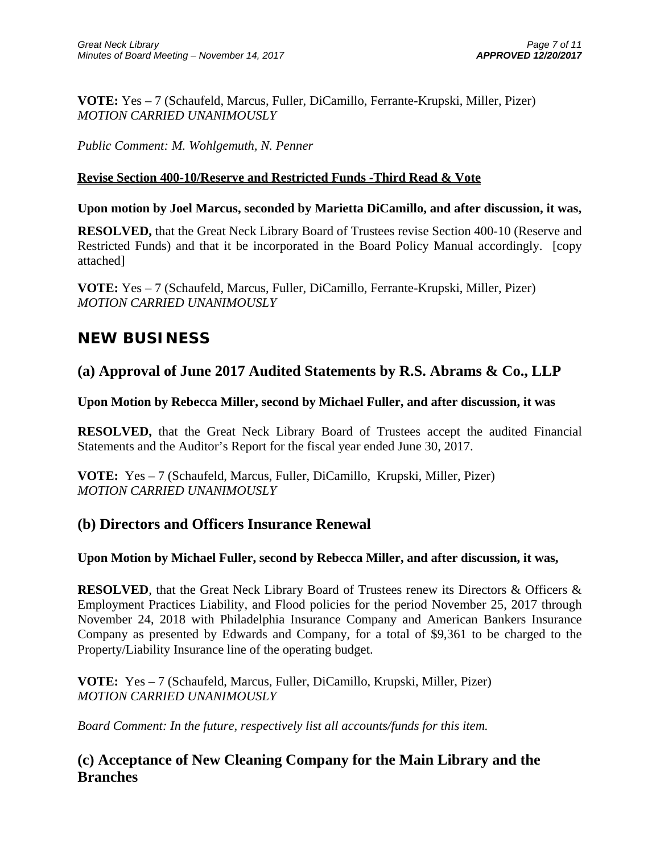**VOTE:** Yes – 7 (Schaufeld, Marcus, Fuller, DiCamillo, Ferrante-Krupski, Miller, Pizer) *MOTION CARRIED UNANIMOUSLY*

*Public Comment: M. Wohlgemuth, N. Penner* 

## **Revise Section 400-10/Reserve and Restricted Funds -Third Read & Vote**

### **Upon motion by Joel Marcus, seconded by Marietta DiCamillo, and after discussion, it was,**

**RESOLVED,** that the Great Neck Library Board of Trustees revise Section 400-10 (Reserve and Restricted Funds) and that it be incorporated in the Board Policy Manual accordingly. [copy attached]

**VOTE:** Yes – 7 (Schaufeld, Marcus, Fuller, DiCamillo, Ferrante-Krupski, Miller, Pizer) *MOTION CARRIED UNANIMOUSLY*

# **NEW BUSINESS**

## **(a) Approval of June 2017 Audited Statements by R.S. Abrams & Co., LLP**

### **Upon Motion by Rebecca Miller, second by Michael Fuller, and after discussion, it was**

**RESOLVED,** that the Great Neck Library Board of Trustees accept the audited Financial Statements and the Auditor's Report for the fiscal year ended June 30, 2017.

**VOTE:** Yes – 7 (Schaufeld, Marcus, Fuller, DiCamillo, Krupski, Miller, Pizer) *MOTION CARRIED UNANIMOUSLY* 

## **(b) Directors and Officers Insurance Renewal**

## **Upon Motion by Michael Fuller, second by Rebecca Miller, and after discussion, it was,**

**RESOLVED**, that the Great Neck Library Board of Trustees renew its Directors & Officers & Employment Practices Liability, and Flood policies for the period November 25, 2017 through November 24, 2018 with Philadelphia Insurance Company and American Bankers Insurance Company as presented by Edwards and Company, for a total of \$9,361 to be charged to the Property/Liability Insurance line of the operating budget.

**VOTE:** Yes – 7 (Schaufeld, Marcus, Fuller, DiCamillo, Krupski, Miller, Pizer) *MOTION CARRIED UNANIMOUSLY* 

*Board Comment: In the future, respectively list all accounts/funds for this item.* 

## **(c) Acceptance of New Cleaning Company for the Main Library and the Branches**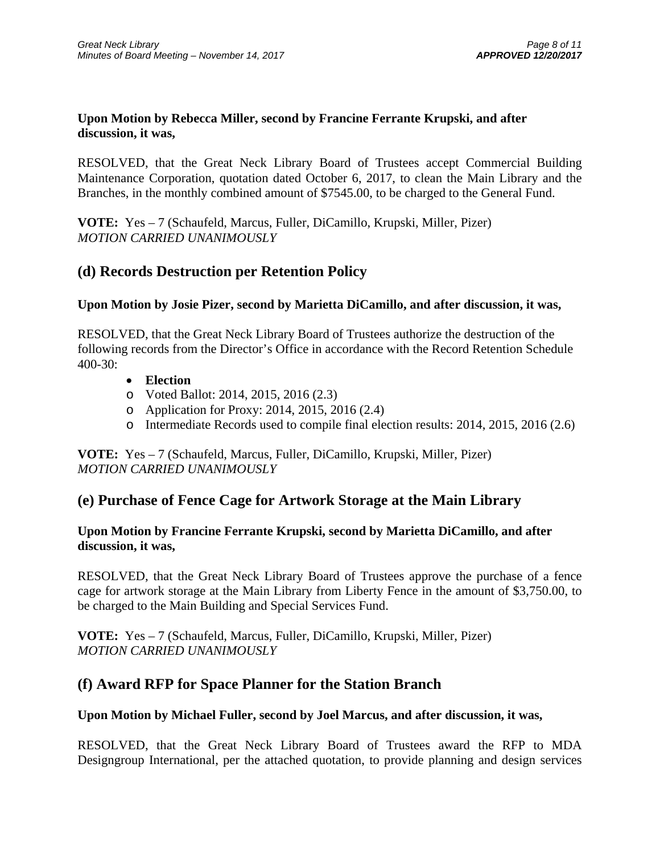### **Upon Motion by Rebecca Miller, second by Francine Ferrante Krupski, and after discussion, it was,**

RESOLVED, that the Great Neck Library Board of Trustees accept Commercial Building Maintenance Corporation, quotation dated October 6, 2017, to clean the Main Library and the Branches, in the monthly combined amount of \$7545.00, to be charged to the General Fund.

**VOTE:** Yes – 7 (Schaufeld, Marcus, Fuller, DiCamillo, Krupski, Miller, Pizer) *MOTION CARRIED UNANIMOUSLY* 

## **(d) Records Destruction per Retention Policy**

## **Upon Motion by Josie Pizer, second by Marietta DiCamillo, and after discussion, it was,**

RESOLVED, that the Great Neck Library Board of Trustees authorize the destruction of the following records from the Director's Office in accordance with the Record Retention Schedule 400-30:

- **Election**
- o Voted Ballot: 2014, 2015, 2016 (2.3)
- o Application for Proxy: 2014, 2015, 2016 (2.4)
- o Intermediate Records used to compile final election results: 2014, 2015, 2016 (2.6)

**VOTE:** Yes – 7 (Schaufeld, Marcus, Fuller, DiCamillo, Krupski, Miller, Pizer) *MOTION CARRIED UNANIMOUSLY* 

## **(e) Purchase of Fence Cage for Artwork Storage at the Main Library**

## **Upon Motion by Francine Ferrante Krupski, second by Marietta DiCamillo, and after discussion, it was,**

RESOLVED, that the Great Neck Library Board of Trustees approve the purchase of a fence cage for artwork storage at the Main Library from Liberty Fence in the amount of \$3,750.00, to be charged to the Main Building and Special Services Fund.

**VOTE:** Yes – 7 (Schaufeld, Marcus, Fuller, DiCamillo, Krupski, Miller, Pizer) *MOTION CARRIED UNANIMOUSLY*

## **(f) Award RFP for Space Planner for the Station Branch**

## **Upon Motion by Michael Fuller, second by Joel Marcus, and after discussion, it was,**

RESOLVED, that the Great Neck Library Board of Trustees award the RFP to MDA Designgroup International, per the attached quotation, to provide planning and design services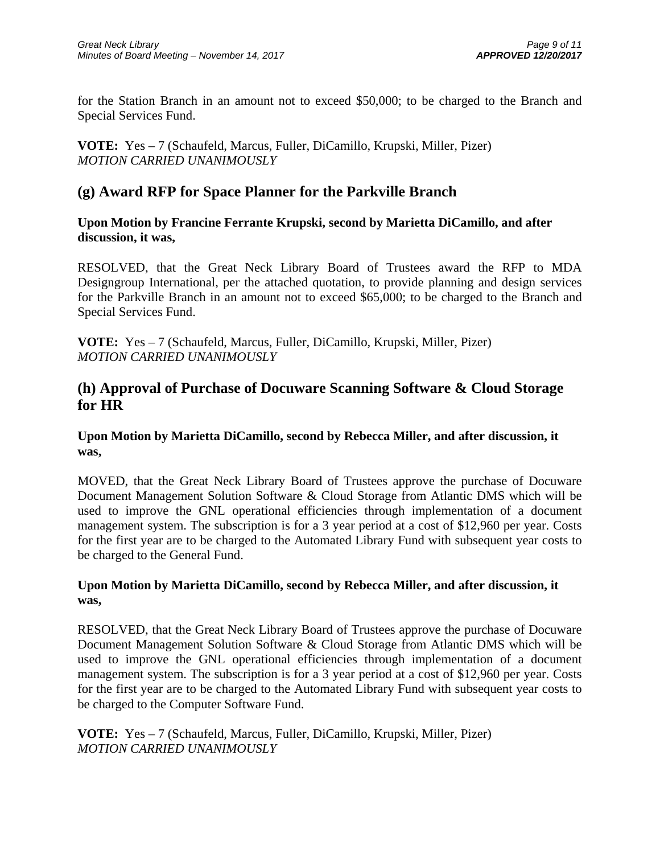for the Station Branch in an amount not to exceed \$50,000; to be charged to the Branch and Special Services Fund.

**VOTE:** Yes – 7 (Schaufeld, Marcus, Fuller, DiCamillo, Krupski, Miller, Pizer) *MOTION CARRIED UNANIMOUSLY*

## **(g) Award RFP for Space Planner for the Parkville Branch**

**Upon Motion by Francine Ferrante Krupski, second by Marietta DiCamillo, and after discussion, it was,** 

RESOLVED, that the Great Neck Library Board of Trustees award the RFP to MDA Designgroup International, per the attached quotation, to provide planning and design services for the Parkville Branch in an amount not to exceed \$65,000; to be charged to the Branch and Special Services Fund.

**VOTE:** Yes – 7 (Schaufeld, Marcus, Fuller, DiCamillo, Krupski, Miller, Pizer) *MOTION CARRIED UNANIMOUSLY*

## **(h) Approval of Purchase of Docuware Scanning Software & Cloud Storage for HR**

### **Upon Motion by Marietta DiCamillo, second by Rebecca Miller, and after discussion, it was,**

MOVED, that the Great Neck Library Board of Trustees approve the purchase of Docuware Document Management Solution Software & Cloud Storage from Atlantic DMS which will be used to improve the GNL operational efficiencies through implementation of a document management system. The subscription is for a 3 year period at a cost of \$12,960 per year. Costs for the first year are to be charged to the Automated Library Fund with subsequent year costs to be charged to the General Fund.

## **Upon Motion by Marietta DiCamillo, second by Rebecca Miller, and after discussion, it was,**

RESOLVED, that the Great Neck Library Board of Trustees approve the purchase of Docuware Document Management Solution Software & Cloud Storage from Atlantic DMS which will be used to improve the GNL operational efficiencies through implementation of a document management system. The subscription is for a 3 year period at a cost of \$12,960 per year. Costs for the first year are to be charged to the Automated Library Fund with subsequent year costs to be charged to the Computer Software Fund.

**VOTE:** Yes – 7 (Schaufeld, Marcus, Fuller, DiCamillo, Krupski, Miller, Pizer) *MOTION CARRIED UNANIMOUSLY*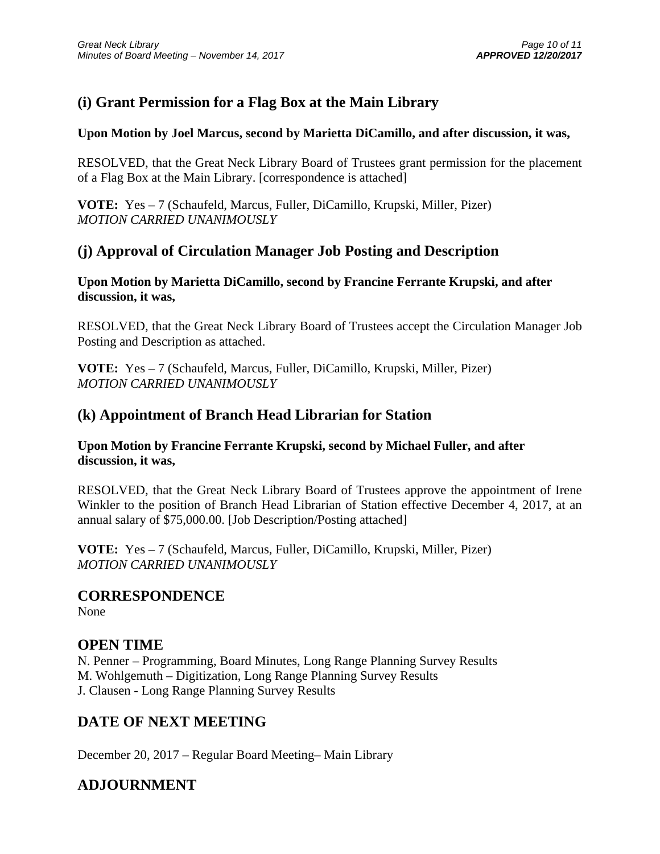# **(i) Grant Permission for a Flag Box at the Main Library**

## **Upon Motion by Joel Marcus, second by Marietta DiCamillo, and after discussion, it was,**

RESOLVED, that the Great Neck Library Board of Trustees grant permission for the placement of a Flag Box at the Main Library. [correspondence is attached]

**VOTE:** Yes – 7 (Schaufeld, Marcus, Fuller, DiCamillo, Krupski, Miller, Pizer) *MOTION CARRIED UNANIMOUSLY*

## **(j) Approval of Circulation Manager Job Posting and Description**

## **Upon Motion by Marietta DiCamillo, second by Francine Ferrante Krupski, and after discussion, it was,**

RESOLVED, that the Great Neck Library Board of Trustees accept the Circulation Manager Job Posting and Description as attached.

**VOTE:** Yes – 7 (Schaufeld, Marcus, Fuller, DiCamillo, Krupski, Miller, Pizer) *MOTION CARRIED UNANIMOUSLY*

## **(k) Appointment of Branch Head Librarian for Station**

## **Upon Motion by Francine Ferrante Krupski, second by Michael Fuller, and after discussion, it was,**

RESOLVED, that the Great Neck Library Board of Trustees approve the appointment of Irene Winkler to the position of Branch Head Librarian of Station effective December 4, 2017, at an annual salary of \$75,000.00. [Job Description/Posting attached]

**VOTE:** Yes – 7 (Schaufeld, Marcus, Fuller, DiCamillo, Krupski, Miller, Pizer) *MOTION CARRIED UNANIMOUSLY*

## **CORRESPONDENCE**

None

## **OPEN TIME**

N. Penner – Programming, Board Minutes, Long Range Planning Survey Results M. Wohlgemuth – Digitization, Long Range Planning Survey Results J. Clausen - Long Range Planning Survey Results

# **DATE OF NEXT MEETING**

December 20, 2017 – Regular Board Meeting– Main Library

# **ADJOURNMENT**